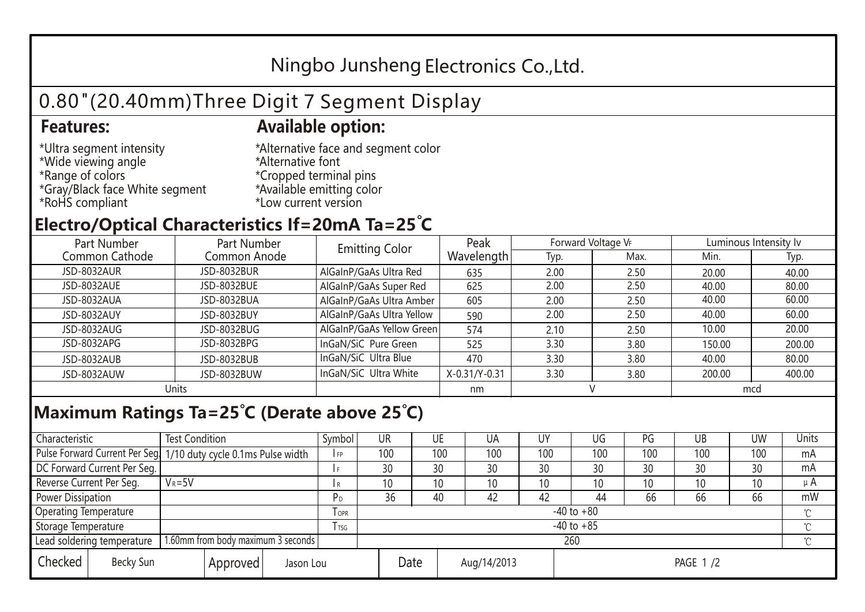## Ningbo Junsheng Electronics Co.,Ltd.

# 0.80"(20.40mm)Three Digit 7 Segment Display

#### **Features: Available option:**

- \*Ultra segment intensity \*Wide viewing angle \*Range of colors \*Gray/Black face White segment \*RoHS compliant
- \*Alternative face and segment color \*Alternative font \*Cropped terminal pins \*Available emitting color \*Low current version

#### **Electro/Optical Characteristics If=20mA Ta=25 C**

| Part Number    | Part Number        | <b>Emitting Color</b>     | Peak          | Forward Voltage VF |      | Luminous Intensity lv |        |  |
|----------------|--------------------|---------------------------|---------------|--------------------|------|-----------------------|--------|--|
| Common Cathode | Common Anode       |                           | Wavelength    | Typ.               | Max. | Min.                  | Typ.   |  |
| JSD-8032AUR    | <b>JSD-8032BUR</b> | AlGaInP/GaAs Ultra Red    | 635           | 2.00               | 2.50 | 20.00                 | 40.00  |  |
| JSD-8032AUE    | JSD-8032BUE        | AlGaInP/GaAs Super Red    | 625           | 2.00               | 2.50 | 40.00                 | 80.00  |  |
| JSD-8032AUA    | JSD-8032BUA        | AlGaInP/GaAs Ultra Amber  | 605           | 2.00               | 2.50 | 40.00                 | 60.00  |  |
| JSD-8032AUY    | JSD-8032BUY        | AlGaInP/GaAs Ultra Yellow | 590           | 2.00               | 2.50 | 40.00                 | 60.00  |  |
| JSD-8032AUG    | JSD-8032BUG        | AlGaInP/GaAs Yellow Green | 574           | 2.10               | 2.50 | 10.00                 | 20.00  |  |
| JSD-8032APG    | JSD-8032BPG        | InGaN/SiC Pure Green      | 525           | 3.30               | 3.80 | 150.00                | 200.00 |  |
| JSD-8032AUB    | JSD-8032BUB        | InGaN/SiC Ultra Blue      | 470           | 3.30               | 3.80 | 40.00                 | 80.00  |  |
| JSD-8032AUW    | JSD-8032BUW        | InGaN/SiC Ultra White     | X-0.31/Y-0.31 | 3.30               | 3.80 | 200.00                | 400.00 |  |
| Units          |                    |                           | nm            |                    |      | mcd                   |        |  |

### **Maximum Ratings Ta=25°C (Derate above 25°C)**

| Characteristic                                |            | <b>Test Condition</b><br>Symbol                                 |                     |                | UR              |    | UE       | UA  | UY  | UG  | PG  | UB     | <b>UW</b> | Units |
|-----------------------------------------------|------------|-----------------------------------------------------------------|---------------------|----------------|-----------------|----|----------|-----|-----|-----|-----|--------|-----------|-------|
|                                               |            | Pulse Forward Current Per Seg 1/10 duty cycle 0.1ms Pulse width |                     |                | 100             |    | 100      | 100 | 100 | 100 | 100 | 100    | 100       | mA    |
| DC Forward Current Per Seg.                   |            |                                                                 |                     |                | 30              | 30 |          | 30  | 30  | 30  | 30  | 30     | 30        | mA    |
| Reverse Current Per Seg.                      | $V_R = 5V$ |                                                                 |                     | I R            | 10 <sup>°</sup> |    | 10       | 10  | 10  | 10  | 10  | 10     | 10        | μA    |
| <b>Power Dissipation</b>                      |            |                                                                 |                     |                | 36              | 40 |          | 42  | 42  | 44  | 66  | 66     | 66        | mW    |
| <b>Operating Temperature</b>                  |            |                                                                 | $I$ OPR             | $-40$ to $+80$ |                 |    |          |     |     |     |     |        |           |       |
| Storage Temperature                           |            | I TSG                                                           | $-40$ to $+85$      |                |                 |    |          |     |     |     |     | $\sim$ |           |       |
| Lead soldering temperature                    |            | 1.60mm from body maximum 3 seconds                              |                     |                | 260             |    |          |     |     |     |     |        |           |       |
| Checked<br>Becky Sun<br>Approved<br>Jason Lou |            |                                                                 | Date<br>Aug/14/2013 |                |                 |    | PAGE 1/2 |     |     |     |     |        |           |       |